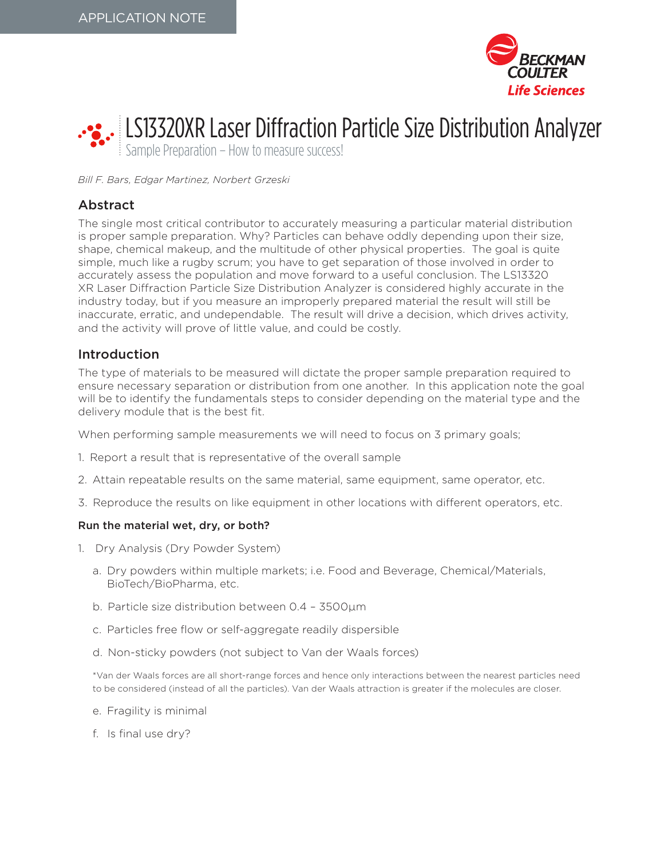



*Bill F. Bars, Edgar Martinez, Norbert Grzeski*

## Abstract

The single most critical contributor to accurately measuring a particular material distribution is proper sample preparation. Why? Particles can behave oddly depending upon their size, shape, chemical makeup, and the multitude of other physical properties. The goal is quite simple, much like a rugby scrum; you have to get separation of those involved in order to accurately assess the population and move forward to a useful conclusion. The LS13320 XR Laser Diffraction Particle Size Distribution Analyzer is considered highly accurate in the industry today, but if you measure an improperly prepared material the result will still be inaccurate, erratic, and undependable. The result will drive a decision, which drives activity, and the activity will prove of little value, and could be costly.

### Introduction

The type of materials to be measured will dictate the proper sample preparation required to ensure necessary separation or distribution from one another. In this application note the goal will be to identify the fundamentals steps to consider depending on the material type and the delivery module that is the best fit.

When performing sample measurements we will need to focus on 3 primary goals;

- 1. Report a result that is representative of the overall sample
- 2. Attain repeatable results on the same material, same equipment, same operator, etc.
- 3. Reproduce the results on like equipment in other locations with different operators, etc.

#### Run the material wet, dry, or both?

- 1. Dry Analysis (Dry Powder System)
	- a. Dry powders within multiple markets; i.e. Food and Beverage, Chemical/Materials, BioTech/BioPharma, etc.
	- b. Particle size distribution between 0.4 3500µm
	- c. Particles free flow or self-aggregate readily dispersible
	- d. Non-sticky powders (not subject to Van der Waals forces)

\*Van der Waals forces are all short-range forces and hence only interactions between the nearest particles need to be considered (instead of all the particles). Van der Waals attraction is greater if the molecules are closer.

- e. Fragility is minimal
- f. Is final use dry?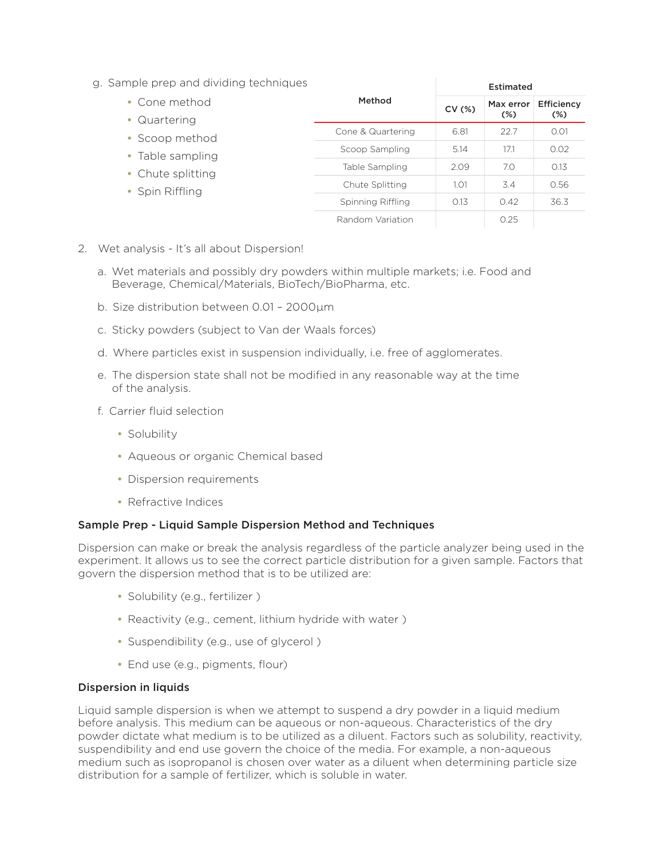g. Sample prep and dividing techniques

|                   | Estimated |           |            |
|-------------------|-----------|-----------|------------|
| Method            | CV(%)     | Max error | Efficiency |
|                   |           |           | $(\%)$     |
| Cone & Quartering | 6.81      | 22.7      | 0.01       |
| Scoop Sampling    | 5.14      | 17.1      | 0.02       |
| Table Sampling    | 2.09      | 7.0       | 0.13       |
| Chute Splitting   | 1.01      | 3.4       | 0.56       |
| Spinning Riffling | 0.13      | 0.42      | 36.3       |
| Random Variation  |           | 0.25      |            |
|                   |           |           | $(\%)$     |

- 2. Wet analysis It's all about Dispersion!
	- a. Wet materials and possibly dry powders within multiple markets; i.e. Food and Beverage, Chemical/Materials, BioTech/BioPharma, etc.
	- b. Size distribution between 0.01 2000µm
	- c. Sticky powders (subject to Van der Waals forces)
	- d. Where particles exist in suspension individually, i.e. free of agglomerates.
	- e. The dispersion state shall not be modified in any reasonable way at the time of the analysis.
	- f. Carrier fluid selection
		- Solubility
		- Aqueous or organic Chemical based
		- Dispersion requirements
		- Refractive Indices

#### Sample Prep - Liquid Sample Dispersion Method and Techniques

Dispersion can make or break the analysis regardless of the particle analyzer being used in the experiment. It allows us to see the correct particle distribution for a given sample. Factors that govern the dispersion method that is to be utilized are:

- Solubility (e.g., fertilizer )
- Reactivity (e.g., cement, lithium hydride with water )
- Suspendibility (e.g., use of glycerol )
- End use (e.g., pigments, flour)

#### Dispersion in liquids

Liquid sample dispersion is when we attempt to suspend a dry powder in a liquid medium before analysis. This medium can be aqueous or non-aqueous. Characteristics of the dry powder dictate what medium is to be utilized as a diluent. Factors such as solubility, reactivity, suspendibility and end use govern the choice of the media. For example, a non-aqueous medium such as isopropanol is chosen over water as a diluent when determining particle size distribution for a sample of fertilizer, which is soluble in water.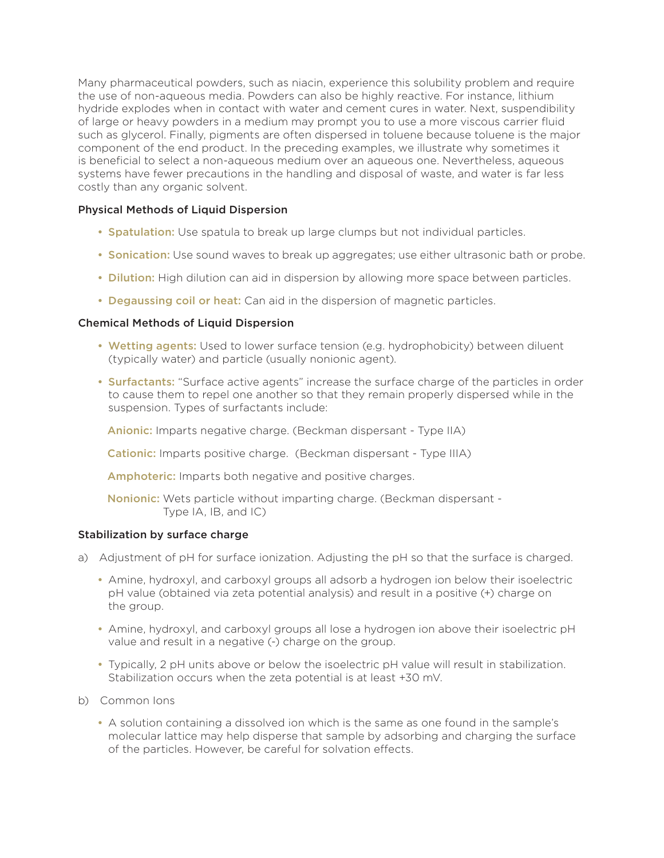Many pharmaceutical powders, such as niacin, experience this solubility problem and require the use of non-aqueous media. Powders can also be highly reactive. For instance, lithium hydride explodes when in contact with water and cement cures in water. Next, suspendibility of large or heavy powders in a medium may prompt you to use a more viscous carrier fluid such as glycerol. Finally, pigments are often dispersed in toluene because toluene is the major component of the end product. In the preceding examples, we illustrate why sometimes it is beneficial to select a non-aqueous medium over an aqueous one. Nevertheless, aqueous systems have fewer precautions in the handling and disposal of waste, and water is far less costly than any organic solvent.

#### Physical Methods of Liquid Dispersion

- Spatulation: Use spatula to break up large clumps but not individual particles.
- Sonication: Use sound waves to break up aggregates; use either ultrasonic bath or probe.
- Dilution: High dilution can aid in dispersion by allowing more space between particles.
- Degaussing coil or heat: Can aid in the dispersion of magnetic particles.

#### Chemical Methods of Liquid Dispersion

- Wetting agents: Used to lower surface tension (e.g. hydrophobicity) between diluent (typically water) and particle (usually nonionic agent).
- Surfactants: "Surface active agents" increase the surface charge of the particles in order to cause them to repel one another so that they remain properly dispersed while in the suspension. Types of surfactants include:

Anionic: Imparts negative charge. (Beckman dispersant - Type IIA)

Cationic: Imparts positive charge. (Beckman dispersant - Type IIIA)

Amphoteric: Imparts both negative and positive charges.

Nonionic: Wets particle without imparting charge. (Beckman dispersant - Type IA, IB, and IC)

#### Stabilization by surface charge

- a) Adjustment of pH for surface ionization. Adjusting the pH so that the surface is charged.
	- Amine, hydroxyl, and carboxyl groups all adsorb a hydrogen ion below their isoelectric pH value (obtained via zeta potential analysis) and result in a positive (+) charge on the group.
	- Amine, hydroxyl, and carboxyl groups all lose a hydrogen ion above their isoelectric pH value and result in a negative (-) charge on the group.
	- Typically, 2 pH units above or below the isoelectric pH value will result in stabilization. Stabilization occurs when the zeta potential is at least +30 mV.
- b) Common Ions
	- A solution containing a dissolved ion which is the same as one found in the sample's molecular lattice may help disperse that sample by adsorbing and charging the surface of the particles. However, be careful for solvation effects.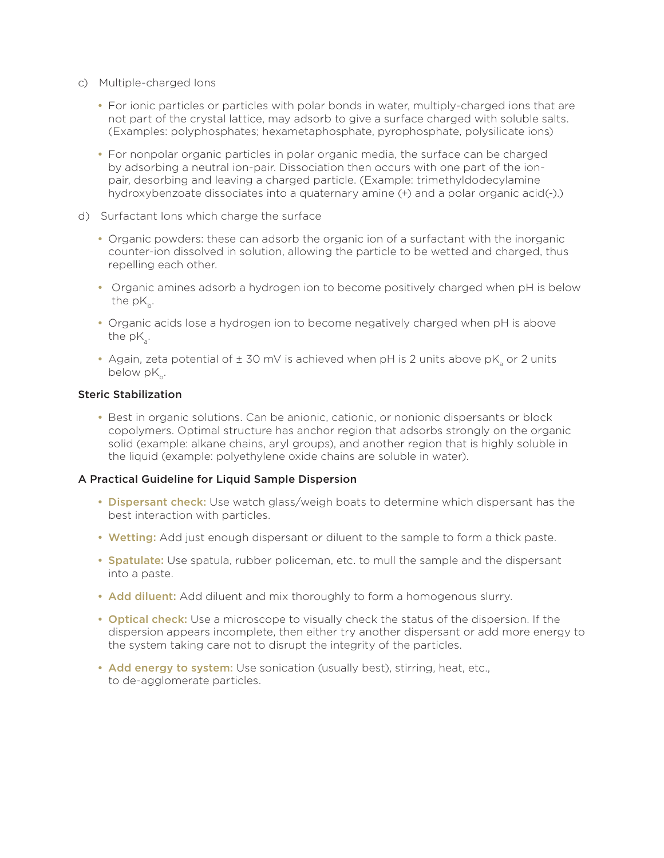- c) Multiple-charged Ions
	- For ionic particles or particles with polar bonds in water, multiply-charged ions that are not part of the crystal lattice, may adsorb to give a surface charged with soluble salts. (Examples: polyphosphates; hexametaphosphate, pyrophosphate, polysilicate ions)
	- For nonpolar organic particles in polar organic media, the surface can be charged by adsorbing a neutral ion-pair. Dissociation then occurs with one part of the ionpair, desorbing and leaving a charged particle. (Example: trimethyldodecylamine hydroxybenzoate dissociates into a quaternary amine (+) and a polar organic acid(-).)
- d) Surfactant Ions which charge the surface
	- Organic powders: these can adsorb the organic ion of a surfactant with the inorganic counter-ion dissolved in solution, allowing the particle to be wetted and charged, thus repelling each other.
	- Organic amines adsorb a hydrogen ion to become positively charged when pH is below the  $pK_b$ .
	- Organic acids lose a hydrogen ion to become negatively charged when pH is above the  $pK$ .
	- Again, zeta potential of  $\pm$  30 mV is achieved when pH is 2 units above pK<sub>s</sub> or 2 units below  $pK_{b}$ .

#### Steric Stabilization

• Best in organic solutions. Can be anionic, cationic, or nonionic dispersants or block copolymers. Optimal structure has anchor region that adsorbs strongly on the organic solid (example: alkane chains, aryl groups), and another region that is highly soluble in the liquid (example: polyethylene oxide chains are soluble in water).

#### A Practical Guideline for Liquid Sample Dispersion

- Dispersant check: Use watch glass/weigh boats to determine which dispersant has the best interaction with particles.
- Wetting: Add just enough dispersant or diluent to the sample to form a thick paste.
- Spatulate: Use spatula, rubber policeman, etc. to mull the sample and the dispersant into a paste.
- Add diluent: Add diluent and mix thoroughly to form a homogenous slurry.
- Optical check: Use a microscope to visually check the status of the dispersion. If the dispersion appears incomplete, then either try another dispersant or add more energy to the system taking care not to disrupt the integrity of the particles.
- Add energy to system: Use sonication (usually best), stirring, heat, etc., to de-agglomerate particles.